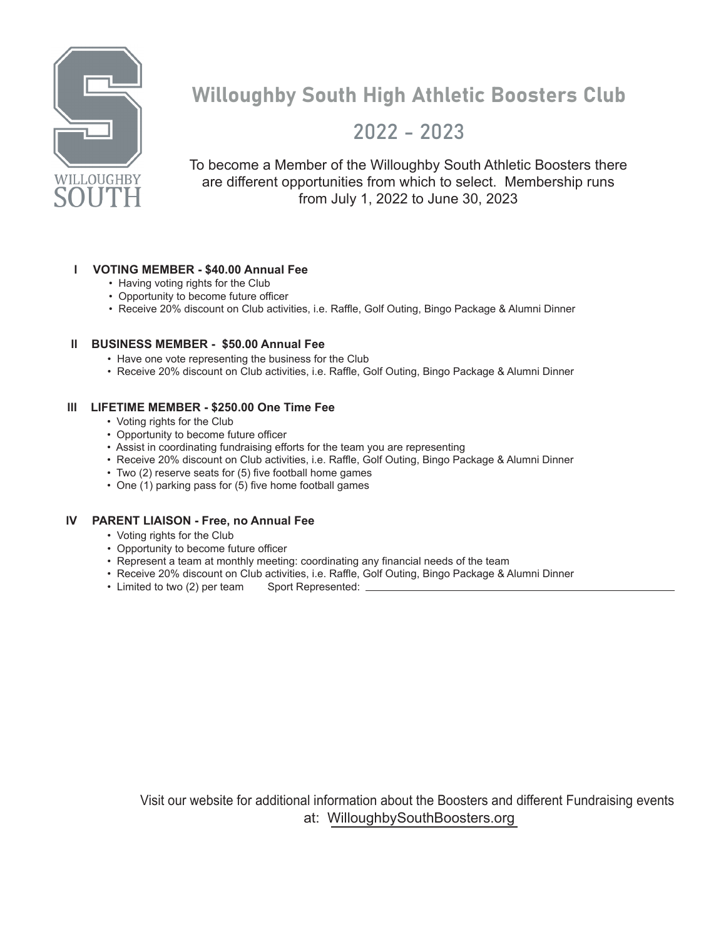

## Willoughby South High Athletic Boosters Club

### 2022 - 2023

To become a Member of the Willoughby South Athletic Boosters there are different opportunities from which to select. Membership runs from July 1, 2022 to June 30, 2023

#### **l VOTING MEMBER - \$40.00 Annual Fee**

- Having voting rights for the Club
- Opportunity to become future officer
- Receive 20% discount on Club activities, i.e. Raffle, Golf Outing, Bingo Package & Alumni Dinner

#### **ll BUSINESS MEMBER - \$50.00 Annual Fee**

- Have one vote representing the business for the Club
- Receive 20% discount on Club activities, i.e. Raffle, Golf Outing, Bingo Package & Alumni Dinner

#### **lll LIFETIME MEMBER - \$250.00 One Time Fee**

- Voting rights for the Club
- Opportunity to become future officer
- Assist in coordinating fundraising efforts for the team you are representing
- Receive 20% discount on Club activities, i.e. Raffle, Golf Outing, Bingo Package & Alumni Dinner
- Two (2) reserve seats for (5) five football home games
- One (1) parking pass for (5) five home football games

#### **lV PARENT LIAISON - Free, no Annual Fee**

- Voting rights for the Club
- Opportunity to become future officer
- Represent a team at monthly meeting: coordinating any financial needs of the team
- Receive 20% discount on Club activities, i.e. Raffle, Golf Outing, Bingo Package & Alumni Dinner<br>• Limited to two (2) per team Sport Represented: \_\_\_\_\_\_\_\_\_\_\_\_\_\_\_\_\_\_\_\_\_\_\_\_\_\_\_\_\_\_\_
- $\cdot$  Limited to two (2) per team

Visit our website for additional information about the Boosters and different Fundraising events at: WilloughbySouthBoosters.org